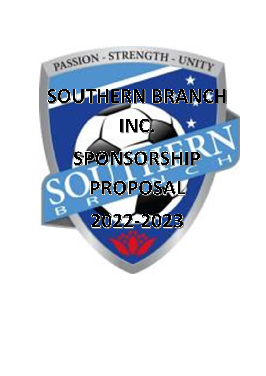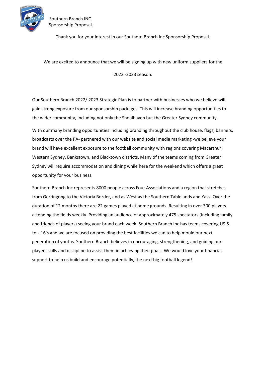

Thank you for your interest in our Southern Branch Inc Sponsorship Proposal.

We are excited to announce that we will be signing up with new uniform suppliers for the

2022 -2023 season.

Our Southern Branch 2022/ 2023 Strategic Plan is to partner with businesses who we believe will gain strong exposure from our sponsorship packages. This will increase branding opportunities to the wider community, including not only the Shoalhaven but the Greater Sydney community.

With our many branding opportunities including branding throughout the club house, flags, banners, broadcasts over the PA- partnered with our website and social media marketing -we believe your brand will have excellent exposure to the football community with regions covering Macarthur, Western Sydney, Bankstown, and Blacktown districts. Many of the teams coming from Greater Sydney will require accommodation and dining while here for the weekend which offers a great opportunity for your business.

Southern Branch Inc represents 8000 people across Four Associations and a region that stretches from Gerringong to the Victoria Border, and as West as the Southern Tablelands and Yass. Over the duration of 12 months there are 22 games played at home grounds. Resulting in over 300 players attending the fields weekly. Providing an audience of approximately 475 spectators (including family and friends of players) seeing your brand each week. Southern Branch Inc has teams covering U9'S to U16's and we are focused on providing the best facilities we can to help mould our next generation of youths. Southern Branch believes in encouraging, strengthening, and guiding our players skills and discipline to assist them in achieving their goals. We would love your financial support to help us build and encourage potentially, the next big football legend!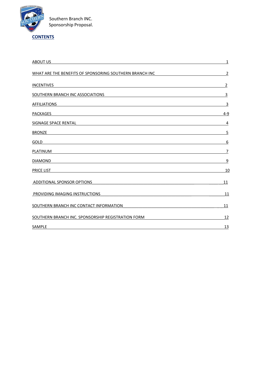

| HFH           | Southern Branch INC.  |
|---------------|-----------------------|
| $\mathcal{V}$ | Sponsorship Proposal. |

| $\overline{1}$                                                                                                                          |
|-----------------------------------------------------------------------------------------------------------------------------------------|
| 2                                                                                                                                       |
| 2                                                                                                                                       |
| 3                                                                                                                                       |
| 3                                                                                                                                       |
| 4-9                                                                                                                                     |
| 4<br><u> 1989 - Johann Stoff, deutscher Stoffen und der Stoffen und der Stoffen und der Stoffen und der Stoffen und de</u>              |
| 5                                                                                                                                       |
| <u>6</u>                                                                                                                                |
| $\overline{7}$<br><u> 1989 - John Stein, september 1989 - John Stein, september 1989 - John Stein, september 1989 - John Stein, sep</u> |
| <u>و</u>                                                                                                                                |
| 10                                                                                                                                      |
| 11                                                                                                                                      |
| 11                                                                                                                                      |
| 11                                                                                                                                      |
| 12                                                                                                                                      |
| <u>13</u>                                                                                                                               |
|                                                                                                                                         |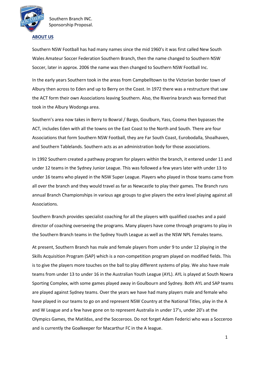

# **ABOUT US**

Southern NSW Football has had many names since the mid 1960's it was first called New South Wales Amateur Soccer Federation Southern Branch, then the name changed to Southern NSW Soccer, later in approx. 2006 the name was then changed to Southern NSW Football Inc.

In the early years Southern took in the areas from Campbelltown to the Victorian border town of Albury then across to Eden and up to Berry on the Coast. In 1972 there was a restructure that saw the ACT form their own Associations leaving Southern. Also, the Riverina branch was formed that took in the Albury Wodonga area.

Southern's area now takes in Berry to Bowral / Bargo, Goulburn, Yass, Cooma then bypasses the ACT, includes Eden with all the towns on the East Coast to the North and South. There are four Associations that form Southern NSW Football, they are Far South Coast, Eurobodalla, Shoalhaven, and Southern Tablelands. Southern acts as an administration body for those associations.

In 1992 Southern created a pathway program for players within the branch, it entered under 11 and under 12 teams in the Sydney Junior League. This was followed a few years later with under 13 to under 16 teams who played in the NSW Super League. Players who played in those teams came from all over the branch and they would travel as far as Newcastle to play their games. The Branch runs annual Branch Championships in various age groups to give players the extra level playing against all Associations.

Southern Branch provides specialist coaching for all the players with qualified coaches and a paid director of coaching overseeing the programs. Many players have come through programs to play in the Southern Branch teams in the Sydney Youth League as well as the NSW NPL Females teams.

At present, Southern Branch has male and female players from under 9 to under 12 playing in the Skills Acquisition Program (SAP) which is a non-competition program played on modified fields. This is to give the players more touches on the ball to play different systems of play. We also have male teams from under 13 to under 16 in the Australian Youth League (AYL). AYL is played at South Nowra Sporting Complex, with some games played away in Goulbourn and Sydney. Both AYL and SAP teams are played against Sydney teams. Over the years we have had many players male and female who have played in our teams to go on and represent NSW Country at the National Titles, play in the A and W League and a few have gone on to represent Australia in under 17's, under 20's at the Olympics Games, the Matildas, and the Socceroos. Do not forget Adam Federici who was a Socceroo and is currently the Goalkeeper for Macarthur FC in the A league.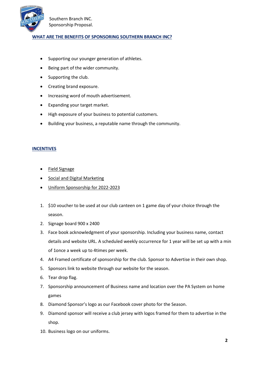

### **WHAT ARE THE BENEFITS OF SPONSORING SOUTHERN BRANCH INC?**

- Supporting our younger generation of athletes.
- Being part of the wider community.
- Supporting the club.
- Creating brand exposure.
- Increasing word of mouth advertisement.
- Expanding your target market.
- High exposure of your business to potential customers.
- Building your business, a reputable name through the community.

#### **INCENTIVES**

- Field Signage
- Social and Digital Marketing
- Uniform Sponsorship for 2022-2023
- 1. \$10 voucher to be used at our club canteen on 1 game day of your choice through the season.
- 2. Signage board 900 x 2400
- 3. Face book acknowledgment of your sponsorship. Including your business name, contact details and website URL. A scheduled weekly occurrence for 1 year will be set up with a min of 1once a week up to 4times per week.
- 4. A4 Framed certificate of sponsorship for the club. Sponsor to Advertise in their own shop.
- 5. Sponsors link to website through our website for the season.
- 6. Tear drop flag.
- 7. Sponsorship announcement of Business name and location over the PA System on home games
- 8. Diamond Sponsor's logo as our Facebook cover photo for the Season.
- 9. Diamond sponsor will receive a club jersey with logos framed for them to advertise in the shop.
- 10. Business logo on our uniforms.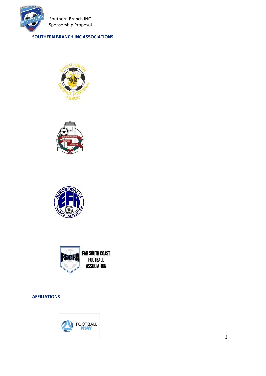

**SOUTHERN BRANCH INC ASSOCIATIONS**









### **AFFILIATIONS**

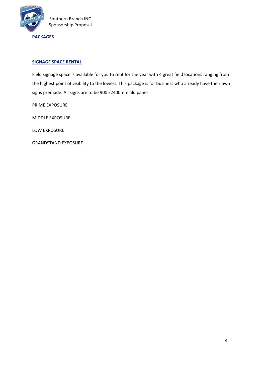

### **SIGNAGE SPACE RENTAL**

Field signage space is available for you to rent for the year with 4 great field locations ranging from the highest point of visibility to the lowest. This package is for business who already have their own signs premade. All signs are to be 900 x2400mm alu panel

PRIME EXPOSURE

MIDDLE EXPOSURE

LOW EXPOSURE

GRANDSTAND EXPOSURE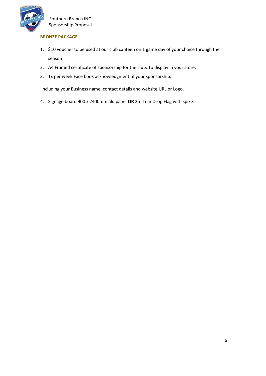

### **BRONZE PACKAGE**

- 1. \$10 voucher to be used at our club canteen on 1 game day of your choice through the season
- 2. A4 Framed certificate of sponsorship for the club. To display in your store.
- 3. 1x per week Face book acknowledgment of your sponsorship.

Including your Business name, contact details and website URL or Logo.

4. Signage board 900 x 2400mm alu panel **OR** 2m Tear Drop Flag with spike.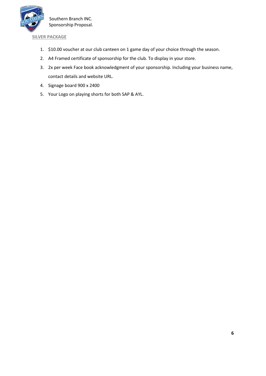

**SILVER PACKAGE**

- 1. \$10.00 voucher at our club canteen on 1 game day of your choice through the season.
- 2. A4 Framed certificate of sponsorship for the club. To display in your store.
- 3. 2x per week Face book acknowledgment of your sponsorship. Including your business name, contact details and website URL.
- 4. Signage board 900 x 2400
- 5. Your Logo on playing shorts for both SAP & AYL.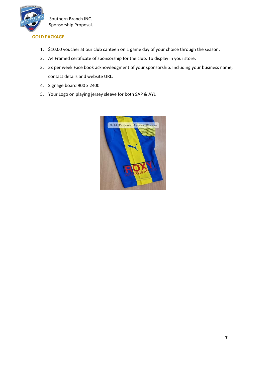

# **GOLD PACKAGE**

- 1. \$10.00 voucher at our club canteen on 1 game day of your choice through the season.
- 2. A4 Framed certificate of sponsorship for the club. To display in your store.
- 3. 3x per week Face book acknowledgment of your sponsorship. Including your business name, contact details and website URL.
- 4. Signage board 900 x 2400
- 5. Your Logo on playing jersey sleeve for both SAP & AYL

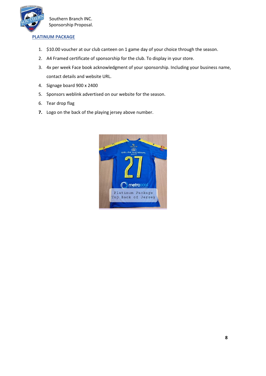

# **PLATINUM PACKAGE**

- 1. \$10.00 voucher at our club canteen on 1 game day of your choice through the season.
- 2. A4 Framed certificate of sponsorship for the club. To display in your store.
- 3. 4x per week Face book acknowledgment of your sponsorship. Including your business name, contact details and website URL.
- 4. Signage board 900 x 2400
- 5. Sponsors weblink advertised on our website for the season.
- 6. Tear drop flag
- **7.** Logo on the back of the playing jersey above number.

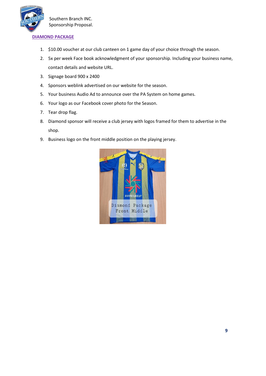

### **DIAMOND PACKAGE**

- 1. \$10.00 voucher at our club canteen on 1 game day of your choice through the season.
- 2. 5x per week Face book acknowledgment of your sponsorship. Including your business name, contact details and website URL.
- 3. Signage board 900 x 2400
- 4. Sponsors weblink advertised on our website for the season.
- 5. Your business Audio Ad to announce over the PA System on home games.
- 6. Your logo as our Facebook cover photo for the Season.
- 7. Tear drop flag.
- 8. Diamond sponsor will receive a club jersey with logos framed for them to advertise in the shop.
- 9. Business logo on the front middle position on the playing jersey.

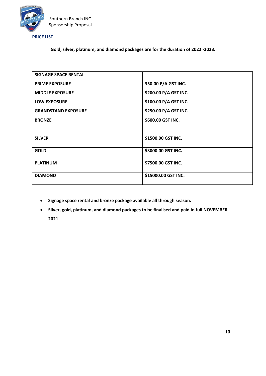

**PRICE LIST**

**Gold, silver, platinum, and diamond packages are for the duration of 2022 -2023.**

| <b>SIGNAGE SPACE RENTAL</b> |                       |
|-----------------------------|-----------------------|
| <b>PRIME EXPOSURE</b>       | 350.00 P/A GST INC.   |
| <b>MIDDLE EXPOSURE</b>      | \$200.00 P/A GST INC. |
| <b>LOW EXPOSURE</b>         | \$100.00 P/A GST INC. |
| <b>GRANDSTAND EXPOSURE</b>  | \$250.00 P/A GST INC. |
| <b>BRONZE</b>               | \$600.00 GST INC.     |
|                             |                       |
| <b>SILVER</b>               | \$1500.00 GST INC.    |
|                             |                       |
| <b>GOLD</b>                 | \$3000.00 GST INC.    |
| <b>PLATINUM</b>             | \$7500.00 GST INC.    |
|                             |                       |
| <b>DIAMOND</b>              | \$15000.00 GST INC.   |
|                             |                       |

- **Signage space rental and bronze package available all through season.**
- **Silver, gold, platinum, and diamond packages to be finalised and paid in full NOVEMBER 2021**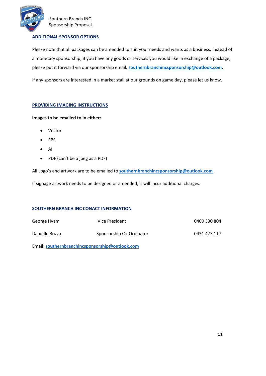

# **ADDITIONAL SPONSOR OPTIONS**

Please note that all packages can be amended to suit your needs and wants as a business. Instead of a monetary sponsorship, if you have any goods or services you would like in exchange of a package, please put it forward via our sponsorship email. **[southernbranchincsponsorship@outlook.com.](mailto:southernbranchincsponsorship@outlook.com)**

If any sponsors are interested in a market stall at our grounds on game day, please let us know.

### **PROVIDING IMAGING INSTRUCTIONS**

#### **Images to be emailed to in either:**

- Vector
- EPS
- AI
- PDF (can't be a jpeg as a PDF)

All Logo's and artwork are to be emailed to **[southernbranchincsponsorship@outlook.com](mailto:southernbranchincsponsorship@outlook.com)**

If signage artwork needs to be designed or amended, it will incur additional charges.

#### **SOUTHERN BRANCH INC CONACT INFORMATION**

| George Hyam    | Vice President           | 0400 330 804 |
|----------------|--------------------------|--------------|
| Danielle Bozza | Sponsorship Co-Ordinator | 0431 473 117 |

Email: **[southernbranchincsponsorship@outlook.com](mailto:southernbranchincsponsorship@outlook.com)**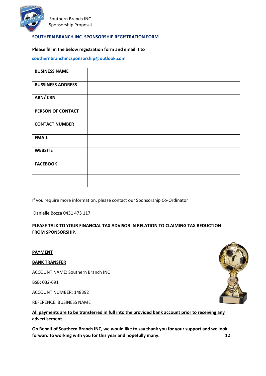

# **SOUTHERN BRANCH INC. SPONSORSHIP REGISTRATION FORM**

#### **Please fill in the below registration form and email it to**

**[southernbranchincsponsorship@outlook.com](mailto:southernbranchincsponsorship@outlook.com)**

| <b>BUSINESS NAME</b>     |  |
|--------------------------|--|
| <b>BUSSINESS ADDRESS</b> |  |
| <b>ABN/CRN</b>           |  |
| PERSON OF CONTACT        |  |
| <b>CONTACT NUMBER</b>    |  |
| <b>EMAIL</b>             |  |
| <b>WEBSITE</b>           |  |
| <b>FACEBOOK</b>          |  |
|                          |  |

If you require more information, please contact our Sponsorship Co-Ordinator

Danielle Bozza 0431 473 117

# **PLEASE TALK TO YOUR FINANCIAL TAX ADVISOR IN RELATION TO CLAIMING TAX REDUCTION FROM SPONSORSHIP.**

**PAYMENT**

**BANK TRANSFER**

ACCOUNT NAME: Southern Branch INC

BSB: 032-691

ACCOUNT NUMBER: 148392

REFERENCE: BUSINESS NAME

**All payments are to be transferred in full into the provided bank account prior to receiving any advertisement.**

**On Behalf of Southern Branch INC, we would like to say thank you for your support and we look forward to working with you for this year and hopefully many. 12**